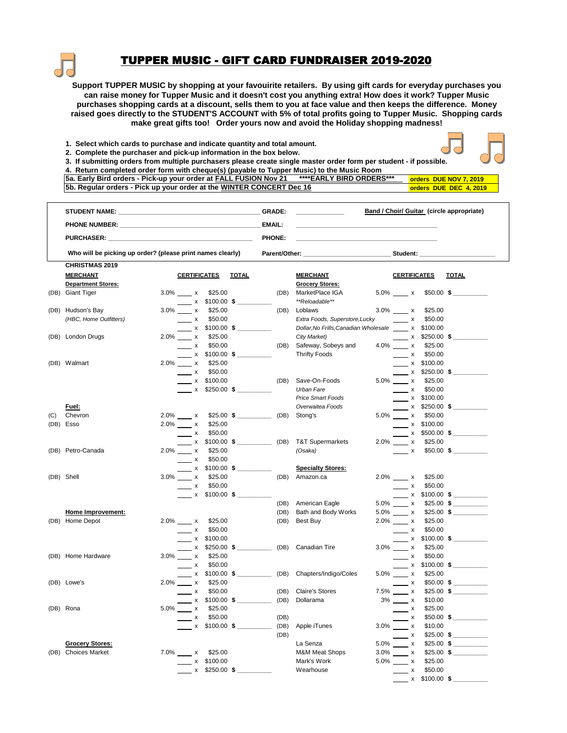

## TUPPER MUSIC - GIFT CARD FUNDRAISER 2019-2020

**Support TUPPER MUSIC by shopping at your favouirite retailers. By using gift cards for everyday purchases you can raise money for Tupper Music and it doesn't cost you anything extra! How does it work? Tupper Music purchases shopping cards at a discount, sells them to you at face value and then keeps the difference. Money raised goes directly to the STUDENT'S ACCOUNT with 5% of total profits going to Tupper Music. Shopping cards make great gifts too! Order yours now and avoid the Holiday shopping madness!**

- **1. Select which cards to purchase and indicate quantity and total amount.**
- **2. Complete the purchaser and pick-up information in the box below.**



**3. If submitting orders from multiple purchasers please create single master order form per student - if possible.**

| 4. Return completed order form with cheque(s) (payable to Tupper Music) to the Music Room          |                        |  |                        |
|----------------------------------------------------------------------------------------------------|------------------------|--|------------------------|
| 5. [58] Sa. Early Bird orders - Pick-up your order at FALL FUSION Nov 21 **** EARLY BIRD ORDERS*** |                        |  | orders DUE NOV 7, 2019 |
| 5b. Regular orders - Pick up your order at the WINTER CONCERT Dec 16                               | orders DUE DEC 4, 2019 |  |                        |

|      | <b>STUDENT NAME:</b>                                                                                                                                                                                                                |                                                            |                                  |                                              |                  | GRADE:        |      |                                                  | <b>Band / Choir/ Guitar (circle appropriate)</b> |                              |                           |                                     |  |
|------|-------------------------------------------------------------------------------------------------------------------------------------------------------------------------------------------------------------------------------------|------------------------------------------------------------|----------------------------------|----------------------------------------------|------------------|---------------|------|--------------------------------------------------|--------------------------------------------------|------------------------------|---------------------------|-------------------------------------|--|
|      | <b>PHONE NUMBER:</b> The contract of the contract of the contract of the contract of the contract of the contract of the contract of the contract of the contract of the contract of the contract of the contract of the contract o |                                                            |                                  |                                              |                  | <b>EMAIL:</b> |      |                                                  |                                                  |                              |                           |                                     |  |
|      | <b>PURCHASER:</b>                                                                                                                                                                                                                   |                                                            |                                  |                                              |                  | <b>PHONE:</b> |      |                                                  |                                                  |                              |                           |                                     |  |
|      |                                                                                                                                                                                                                                     | Who will be picking up order? (please print names clearly) |                                  |                                              | Parent/Other:    |               |      | Student:                                         |                                                  |                              |                           |                                     |  |
|      | <b>CHRISTMAS 2019</b>                                                                                                                                                                                                               |                                                            |                                  |                                              |                  |               |      |                                                  |                                                  |                              |                           |                                     |  |
|      | <b>MERCHANT</b>                                                                                                                                                                                                                     |                                                            | <b>CERTIFICATES</b>              |                                              | <b>TOTAL</b>     |               |      | <b>MERCHANT</b>                                  |                                                  | <b>CERTIFICATES</b>          |                           | <b>TOTAL</b>                        |  |
|      | <b>Department Stores:</b>                                                                                                                                                                                                           |                                                            |                                  |                                              |                  |               |      | <b>Grocery Stores:</b>                           |                                                  |                              |                           |                                     |  |
| (DB) | <b>Giant Tiger</b>                                                                                                                                                                                                                  |                                                            | $3.0\%$ x                        | \$25.00<br>$x$ \$100.00 \$                   |                  |               | (DB) | MarketPlace IGA<br>**Reloadable**                |                                                  | 5.0% x                       | $$50.00$ \$               |                                     |  |
|      | (DB) Hudson's Bay                                                                                                                                                                                                                   |                                                            | $3.0\%$ x                        | \$25.00                                      |                  |               | (DB) | Loblaws                                          | $3.0\%$ $\frac{\ }{2.0\%}$ x                     |                              | \$25.00                   |                                     |  |
|      | (HBC, Home Outfitters)                                                                                                                                                                                                              |                                                            | $\mathsf{x}$                     | \$50.00                                      |                  |               |      | Extra Foods, Superstore, Lucky                   |                                                  | $\overline{\phantom{a}}$ x   | \$50.00                   |                                     |  |
|      |                                                                                                                                                                                                                                     |                                                            |                                  | $\frac{\bullet}{\bullet}$ x \$100.00 \$      |                  |               |      | Dollar, No Frills, Canadian Wholesale x \$100.00 |                                                  |                              |                           |                                     |  |
|      | (DB) London Drugs                                                                                                                                                                                                                   |                                                            | $2.0\%$ x                        | \$25.00                                      |                  |               |      | City Market)                                     |                                                  |                              | x \$250.00 \$             |                                     |  |
|      |                                                                                                                                                                                                                                     |                                                            | $\overline{\phantom{a}}$ x       | \$50.00                                      |                  |               | (DB) | Safeway, Sobeys and                              | $4.0\%$ x                                        |                              | \$25.00                   |                                     |  |
|      |                                                                                                                                                                                                                                     |                                                            |                                  | $x$ \$100.00 \$                              |                  |               |      | <b>Thrifty Foods</b>                             |                                                  | $\mathbf{x}$                 | \$50.00                   |                                     |  |
|      | (DB) Walmart                                                                                                                                                                                                                        |                                                            | $2.0\%$ x                        | \$25.00                                      |                  |               |      |                                                  |                                                  |                              | $\frac{\ }{2}$ x \$100.00 |                                     |  |
|      |                                                                                                                                                                                                                                     |                                                            | $\overline{\phantom{1}}$ x       | \$50.00                                      |                  |               |      |                                                  |                                                  |                              |                           | $\frac{\times}{\times}$ \$250.00 \$ |  |
|      |                                                                                                                                                                                                                                     |                                                            |                                  | $x$ \$100.00                                 |                  |               | (DB) | Save-On-Foods                                    | $5.0\%$ x                                        |                              | \$25.00                   |                                     |  |
|      |                                                                                                                                                                                                                                     |                                                            |                                  | $x$ \$250.00 \$                              |                  |               |      | Urban Fare                                       |                                                  | $\overline{\phantom{0}}$ x   | \$50.00                   |                                     |  |
|      |                                                                                                                                                                                                                                     |                                                            |                                  |                                              |                  |               |      | <b>Price Smart Foods</b>                         |                                                  |                              | $x$ \$100.00              |                                     |  |
|      | Fuel:                                                                                                                                                                                                                               |                                                            |                                  |                                              |                  |               |      | Overwaitea Foods                                 |                                                  |                              | x \$250.00 \$             |                                     |  |
| (C)  | Chevron                                                                                                                                                                                                                             |                                                            | $2.0\%$ x                        |                                              | $$25.00$ \$ (DB) |               |      | Stong's                                          | $5.0\%$ X                                        |                              | \$50.00                   |                                     |  |
|      | (DB) Esso                                                                                                                                                                                                                           |                                                            | $2.0\%$ x                        | \$25.00                                      |                  |               |      |                                                  |                                                  |                              | $x$ \$100.00              |                                     |  |
|      |                                                                                                                                                                                                                                     |                                                            | $\overline{\phantom{1}}$ x       | \$50.00                                      |                  |               |      |                                                  |                                                  |                              |                           | $\times$ \$500.00 \$                |  |
|      |                                                                                                                                                                                                                                     |                                                            |                                  | ____ x \$100.00 <b>\$</b> _____________ (DB) |                  |               |      | <b>T&amp;T Supermarkets</b>                      | $2.0\%$ x                                        |                              | \$25.00                   |                                     |  |
|      | (DB) Petro-Canada                                                                                                                                                                                                                   |                                                            | $2.0\%$ x                        | \$25.00                                      |                  |               |      | (Osaka)                                          |                                                  | $\mathsf{x}$                 |                           | $$50.00$ \$                         |  |
|      |                                                                                                                                                                                                                                     |                                                            | $\frac{1}{\sqrt{1-\frac{1}{2}}}$ | \$50.00                                      |                  |               |      |                                                  |                                                  |                              |                           |                                     |  |
|      |                                                                                                                                                                                                                                     |                                                            |                                  | $\times$ \$100.00 \$                         |                  |               |      | <b>Specialty Stores:</b>                         |                                                  |                              |                           |                                     |  |
|      | (DB) Shell                                                                                                                                                                                                                          |                                                            | $3.0\%$ x                        | \$25.00                                      |                  |               | (DB) | Amazon.ca                                        |                                                  | $2.0\%$ x                    | \$25.00                   |                                     |  |
|      |                                                                                                                                                                                                                                     |                                                            | $\overline{\phantom{1}}$ x       | \$50.00                                      |                  |               |      |                                                  |                                                  | $\mathsf{x}$                 | \$50.00                   |                                     |  |
|      |                                                                                                                                                                                                                                     |                                                            |                                  | $x$ \$100.00 \$                              |                  |               |      |                                                  |                                                  |                              |                           |                                     |  |
|      |                                                                                                                                                                                                                                     |                                                            |                                  |                                              |                  |               | (DB) | American Eagle                                   | $5.0\%$ x                                        |                              |                           | $$25.00$ \$                         |  |
|      | Home Improvement:                                                                                                                                                                                                                   |                                                            |                                  |                                              |                  |               | (DB) | Bath and Body Works                              | $5.0\%$ x                                        |                              |                           | $$25.00$ \$                         |  |
|      | (DB) Home Depot                                                                                                                                                                                                                     |                                                            | 2.0% x                           | \$25.00                                      |                  |               | (DB) | Best Buy                                         | $2.0\%$ X                                        |                              | \$25.00                   |                                     |  |
|      |                                                                                                                                                                                                                                     |                                                            | $\overline{\phantom{a}}$ x       | \$50.00                                      |                  |               |      |                                                  |                                                  | $\overline{\phantom{a}}$ x   | \$50.00                   |                                     |  |
|      |                                                                                                                                                                                                                                     |                                                            |                                  | $\frac{\ }{2}$ x \$100.00                    |                  |               |      |                                                  |                                                  |                              |                           | $\frac{\cdot}{\cdot}$ x \$100.00 \$ |  |
|      |                                                                                                                                                                                                                                     |                                                            |                                  |                                              |                  |               |      | <b>Canadian Tire</b>                             | $3.0\%$ x                                        |                              | \$25.00                   |                                     |  |
|      | (DB) Home Hardware                                                                                                                                                                                                                  |                                                            | $3.0\%$ x                        | \$25.00                                      |                  |               |      |                                                  |                                                  | $\overline{\phantom{a}}$ x   | \$50.00                   |                                     |  |
|      |                                                                                                                                                                                                                                     |                                                            | $\overline{\phantom{a}}$ x       | \$50.00                                      |                  |               |      |                                                  |                                                  |                              |                           | $\frac{\cdot}{\cdot}$ x \$100.00 \$ |  |
|      |                                                                                                                                                                                                                                     |                                                            |                                  | $x$ \$100.00 \$ (DB)                         |                  |               |      | Chapters/Indigo/Coles                            | $5.0\%$ x                                        |                              | \$25.00                   |                                     |  |
|      | (DB) Lowe's                                                                                                                                                                                                                         |                                                            | $2.0\%$ x                        | \$25.00                                      |                  |               |      |                                                  |                                                  | $\mathbf{x}$                 |                           | $$50.00$ \$                         |  |
|      |                                                                                                                                                                                                                                     |                                                            | $\mathsf{x}$                     | \$50.00                                      |                  |               | (DB) | <b>Claire's Stores</b>                           | 7.5% x                                           |                              |                           | $$25.00$ \$                         |  |
|      |                                                                                                                                                                                                                                     |                                                            |                                  | $x$ \$100.00 \$ (DB)                         |                  |               |      | Dollarama                                        |                                                  | $3\%$ $\frac{\ }{2\}$ x      | \$10.00                   |                                     |  |
|      | (DB) Rona                                                                                                                                                                                                                           |                                                            | 5.0% x                           | \$25.00                                      |                  |               |      |                                                  |                                                  | $\mathbf{x}$                 | \$25.00                   |                                     |  |
|      |                                                                                                                                                                                                                                     |                                                            | $\mathsf{x}$                     | \$50.00                                      |                  |               | (DB) |                                                  |                                                  | $\mathsf{x}$                 |                           | $$50.00$ \$                         |  |
|      |                                                                                                                                                                                                                                     |                                                            |                                  | $\frac{\cdot}{\cdot}$ x \$100.00 \$ (DB)     |                  |               |      | Apple iTunes                                     | $3.0\%$ x                                        |                              | \$10.00                   |                                     |  |
|      |                                                                                                                                                                                                                                     |                                                            |                                  |                                              |                  |               | (DB) |                                                  |                                                  | $\mathsf{x}$                 |                           | $$25.00$ \$                         |  |
|      | <b>Grocery Stores:</b>                                                                                                                                                                                                              |                                                            |                                  |                                              |                  |               |      | La Senza                                         | $5.0\%$ x                                        |                              |                           | $$25.00$ \$                         |  |
|      | (DB) Choices Market                                                                                                                                                                                                                 |                                                            | $7.0\%$ x                        | \$25.00                                      |                  |               |      | <b>M&amp;M Meat Shops</b>                        |                                                  | $3.0\%$ $\frac{\ }{2.0\%}$ x |                           | $$25.00$ \$                         |  |
|      |                                                                                                                                                                                                                                     |                                                            |                                  | x \$100.00                                   |                  |               |      | Mark's Work                                      |                                                  | $5.0\%$ $\_\_\_$ x           | \$25.00                   |                                     |  |
|      |                                                                                                                                                                                                                                     |                                                            |                                  | x \$250.00 \$                                |                  |               |      | Wearhouse                                        |                                                  | $\mathsf{x}$                 | \$50.00                   |                                     |  |
|      |                                                                                                                                                                                                                                     |                                                            |                                  |                                              |                  |               |      |                                                  |                                                  |                              | x \$100.00 \$             |                                     |  |